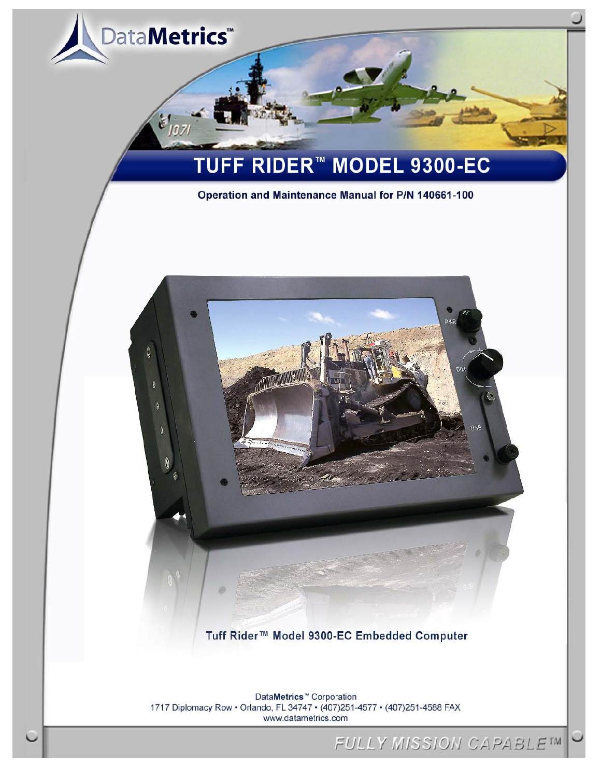

Tuff Rider™ Model 9300-EC Embedded Computer

DataMetrics<sup>™</sup> Corporation 1717 Diplomacy Row . Orlando, FL 34747 . (407)251-4577 . (407)251-4588 FAX www.datametrics.com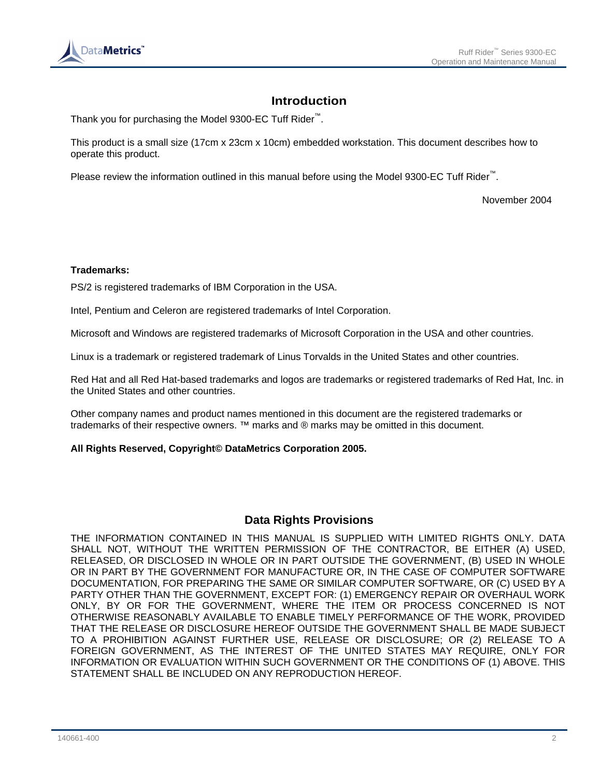

## **Introduction**

Thank you for purchasing the Model 9300-EC Tuff Rider™.

This product is a small size (17cm x 23cm x 10cm) embedded workstation. This document describes how to operate this product.

Please review the information outlined in this manual before using the Model 9300-EC Tuff Rider™.

November 2004

#### **Trademarks:**

PS/2 is registered trademarks of IBM Corporation in the USA.

Intel, Pentium and Celeron are registered trademarks of Intel Corporation.

Microsoft and Windows are registered trademarks of Microsoft Corporation in the USA and other countries.

Linux is a trademark or registered trademark of Linus Torvalds in the United States and other countries.

Red Hat and all Red Hat-based trademarks and logos are trademarks or registered trademarks of Red Hat, Inc. in the United States and other countries.

Other company names and product names mentioned in this document are the registered trademarks or trademarks of their respective owners. ™ marks and ® marks may be omitted in this document.

#### **All Rights Reserved, Copyright© DataMetrics Corporation 2005.**

#### **Data Rights Provisions**

THE INFORMATION CONTAINED IN THIS MANUAL IS SUPPLIED WITH LIMITED RIGHTS ONLY. DATA SHALL NOT, WITHOUT THE WRITTEN PERMISSION OF THE CONTRACTOR, BE EITHER (A) USED, RELEASED, OR DISCLOSED IN WHOLE OR IN PART OUTSIDE THE GOVERNMENT, (B) USED IN WHOLE OR IN PART BY THE GOVERNMENT FOR MANUFACTURE OR, IN THE CASE OF COMPUTER SOFTWARE DOCUMENTATION, FOR PREPARING THE SAME OR SIMILAR COMPUTER SOFTWARE, OR (C) USED BY A PARTY OTHER THAN THE GOVERNMENT, EXCEPT FOR: (1) EMERGENCY REPAIR OR OVERHAUL WORK ONLY, BY OR FOR THE GOVERNMENT, WHERE THE ITEM OR PROCESS CONCERNED IS NOT OTHERWISE REASONABLY AVAILABLE TO ENABLE TIMELY PERFORMANCE OF THE WORK, PROVIDED THAT THE RELEASE OR DISCLOSURE HEREOF OUTSIDE THE GOVERNMENT SHALL BE MADE SUBJECT TO A PROHIBITION AGAINST FURTHER USE, RELEASE OR DISCLOSURE; OR (2) RELEASE TO A FOREIGN GOVERNMENT, AS THE INTEREST OF THE UNITED STATES MAY REQUIRE, ONLY FOR INFORMATION OR EVALUATION WITHIN SUCH GOVERNMENT OR THE CONDITIONS OF (1) ABOVE. THIS STATEMENT SHALL BE INCLUDED ON ANY REPRODUCTION HEREOF.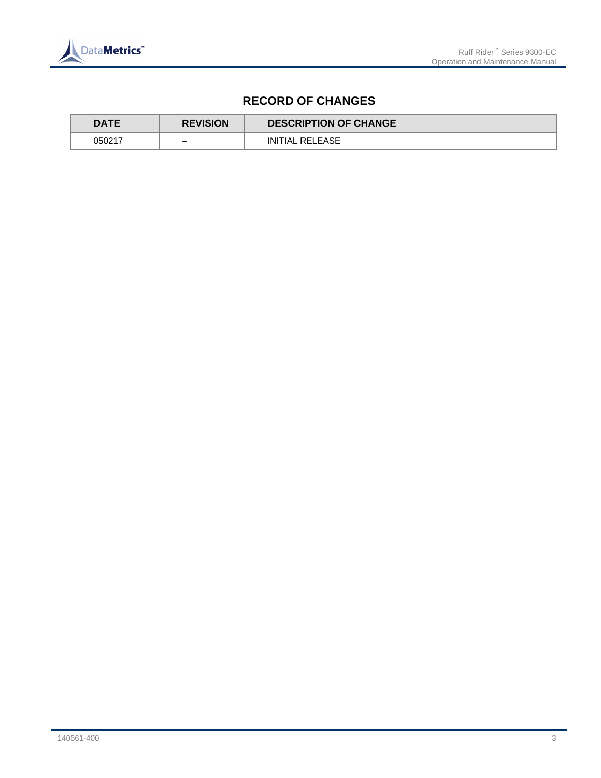

# **RECORD OF CHANGES**

| <b>DATE</b> | <b>REVISION</b> | <b>DESCRIPTION OF CHANGE</b> |
|-------------|-----------------|------------------------------|
| 050217      |                 | INITIAL RELEASE              |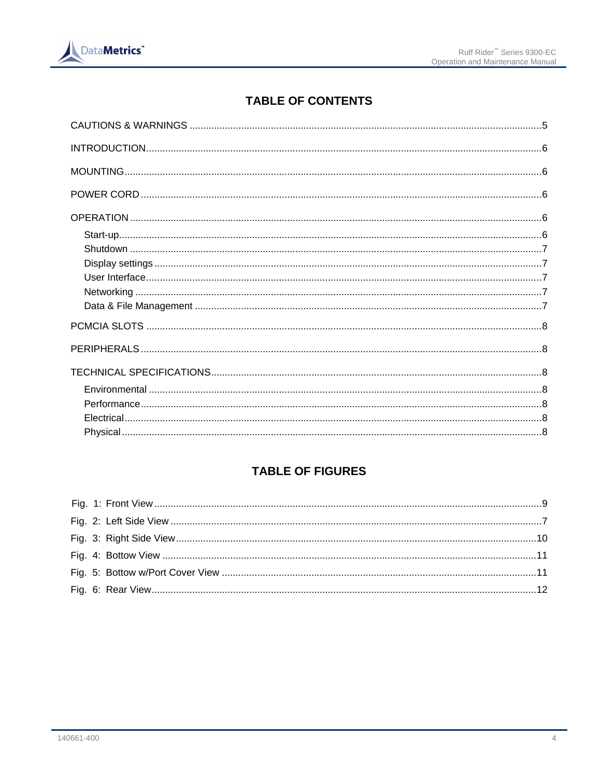

# **TABLE OF CONTENTS**

# **TABLE OF FIGURES**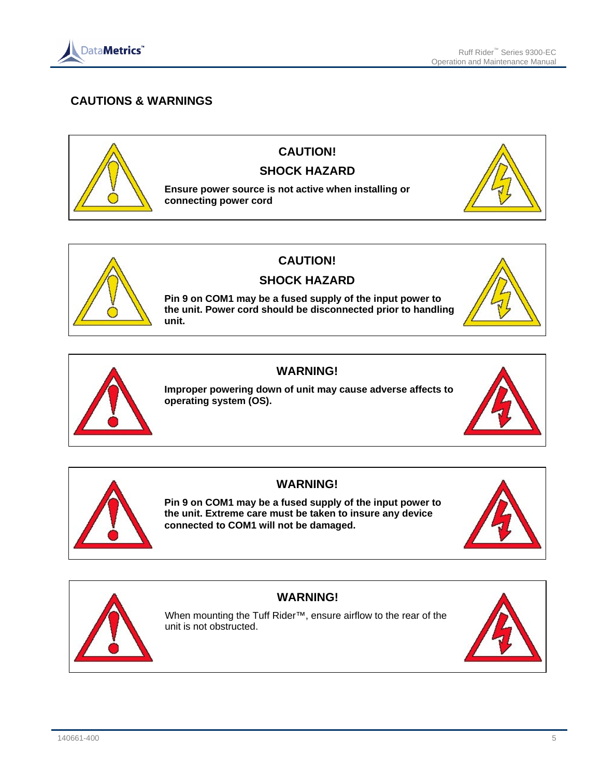

# **CAUTIONS & WARNINGS**





# **CAUTION!**

## **SHOCK HAZARD**

**Pin 9 on COM1 may be a fused supply of the input power to the unit. Power cord should be disconnected prior to handling unit.**





### **WARNING!**

**Improper powering down of unit may cause adverse affects to operating system (OS).**





## **WARNING!**

**Pin 9 on COM1 may be a fused supply of the input power to the unit. Extreme care must be taken to insure any device connected to COM1 will not be damaged.**





# **WARNING!**

When mounting the Tuff Rider™, ensure airflow to the rear of the unit is not obstructed.

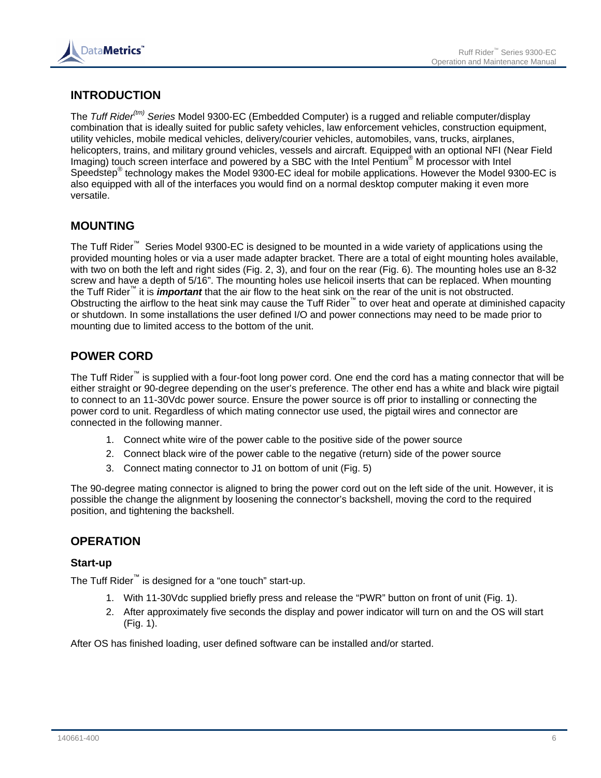

# **INTRODUCTION**

The *Tuff Rider(tm) Series* Model 9300-EC (Embedded Computer) is a rugged and reliable computer/display combination that is ideally suited for public safety vehicles, law enforcement vehicles, construction equipment, utility vehicles, mobile medical vehicles, delivery/courier vehicles, automobiles, vans, trucks, airplanes, helicopters, trains, and military ground vehicles, vessels and aircraft. Equipped with an optional NFI (Near Field Imaging) touch screen interface and powered by a SBC with the Intel Pentium<sup>®</sup> M processor with Intel Speedstep<sup>®</sup> technology makes the Model 9300-EC ideal for mobile applications. However the Model 9300-EC is also equipped with all of the interfaces you would find on a normal desktop computer making it even more versatile.

## **MOUNTING**

The Tuff Rider™ Series Model 9300-EC is designed to be mounted in a wide variety of applications using the provided mounting holes or via a user made adapter bracket. There are a total of eight mounting holes available, with two on both the left and right sides (Fig. 2, 3), and four on the rear (Fig. 6). The mounting holes use an 8-32 screw and have a depth of 5/16". The mounting holes use helicoil inserts that can be replaced. When mounting the Tuff Rider™ it is *important* that the air flow to the heat sink on the rear of the unit is not obstructed. Obstructing the airflow to the heat sink may cause the Tuff Rider™ to over heat and operate at diminished capacity or shutdown. In some installations the user defined I/O and power connections may need to be made prior to mounting due to limited access to the bottom of the unit.

## **POWER CORD**

The Tuff Rider™ is supplied with a four-foot long power cord. One end the cord has a mating connector that will be either straight or 90-degree depending on the user's preference. The other end has a white and black wire pigtail to connect to an 11-30Vdc power source. Ensure the power source is off prior to installing or connecting the power cord to unit. Regardless of which mating connector use used, the pigtail wires and connector are connected in the following manner.

- 1. Connect white wire of the power cable to the positive side of the power source
- 2. Connect black wire of the power cable to the negative (return) side of the power source
- 3. Connect mating connector to J1 on bottom of unit (Fig. 5)

The 90-degree mating connector is aligned to bring the power cord out on the left side of the unit. However, it is possible the change the alignment by loosening the connector's backshell, moving the cord to the required position, and tightening the backshell.

## **OPERATION**

#### **Start-up**

The Tuff Rider™ is designed for a "one touch" start-up.

- 1. With 11-30Vdc supplied briefly press and release the "PWR" button on front of unit (Fig. 1).
- 2. After approximately five seconds the display and power indicator will turn on and the OS will start (Fig. 1).

After OS has finished loading, user defined software can be installed and/or started.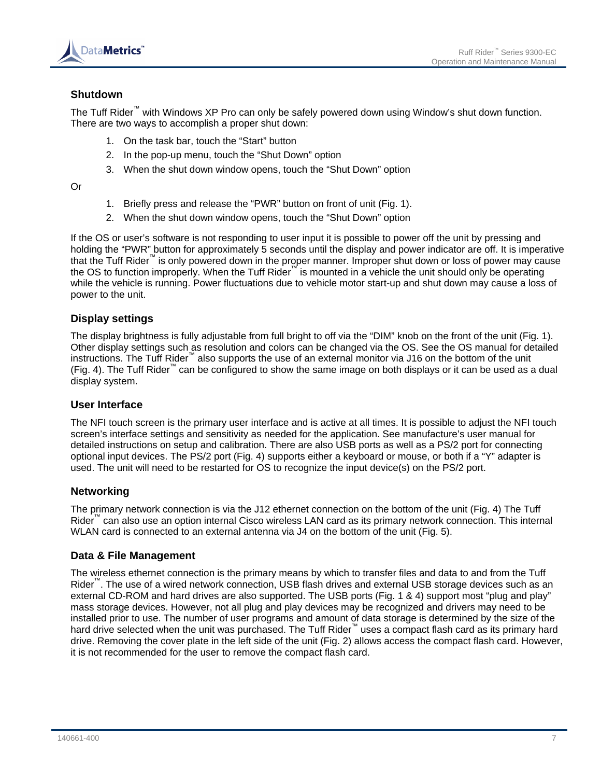

### **Shutdown**

The Tuff Rider™ with Windows XP Pro can only be safely powered down using Window's shut down function. There are two ways to accomplish a proper shut down:

- 1. On the task bar, touch the "Start" button
- 2. In the pop-up menu, touch the "Shut Down" option
- 3. When the shut down window opens, touch the "Shut Down" option

Or

- 1. Briefly press and release the "PWR" button on front of unit (Fig. 1).
- 2. When the shut down window opens, touch the "Shut Down" option

If the OS or user's software is not responding to user input it is possible to power off the unit by pressing and holding the "PWR" button for approximately 5 seconds until the display and power indicator are off. It is imperative that the Tuff Rider™ is only powered down in the proper manner. Improper shut down or loss of power may cause the OS to function improperly. When the Tuff Rider™ is mounted in a vehicle the unit should only be operating while the vehicle is running. Power fluctuations due to vehicle motor start-up and shut down may cause a loss of power to the unit.

### **Display settings**

The display brightness is fully adjustable from full bright to off via the "DIM" knob on the front of the unit (Fig. 1). Other display settings such as resolution and colors can be changed via the OS. See the OS manual for detailed instructions. The Tuff Rider™ also supports the use of an external monitor via J16 on the bottom of the unit (Fig. 4). The Tuff Rider™ can be configured to show the same image on both displays or it can be used as a dual display system.

#### **User Interface**

The NFI touch screen is the primary user interface and is active at all times. It is possible to adjust the NFI touch screen's interface settings and sensitivity as needed for the application. See manufacture's user manual for detailed instructions on setup and calibration. There are also USB ports as well as a PS/2 port for connecting optional input devices. The PS/2 port (Fig. 4) supports either a keyboard or mouse, or both if a "Y" adapter is used. The unit will need to be restarted for OS to recognize the input device(s) on the PS/2 port.

#### **Networking**

The primary network connection is via the J12 ethernet connection on the bottom of the unit (Fig. 4) The Tuff Rider<sup>™</sup> can also use an option internal Cisco wireless LAN card as its primary network connection. This internal WLAN card is connected to an external antenna via J4 on the bottom of the unit (Fig. 5).

#### **Data & File Management**

The wireless ethernet connection is the primary means by which to transfer files and data to and from the Tuff Rider™. The use of a wired network connection, USB flash drives and external USB storage devices such as an external CD-ROM and hard drives are also supported. The USB ports (Fig. 1 & 4) support most "plug and play" mass storage devices. However, not all plug and play devices may be recognized and drivers may need to be installed prior to use. The number of user programs and amount of data storage is determined by the size of the hard drive selected when the unit was purchased. The Tuff Rider<sup>™</sup> uses a compact flash card as its primary hard drive. Removing the cover plate in the left side of the unit (Fig. 2) allows access the compact flash card. However, it is not recommended for the user to remove the compact flash card.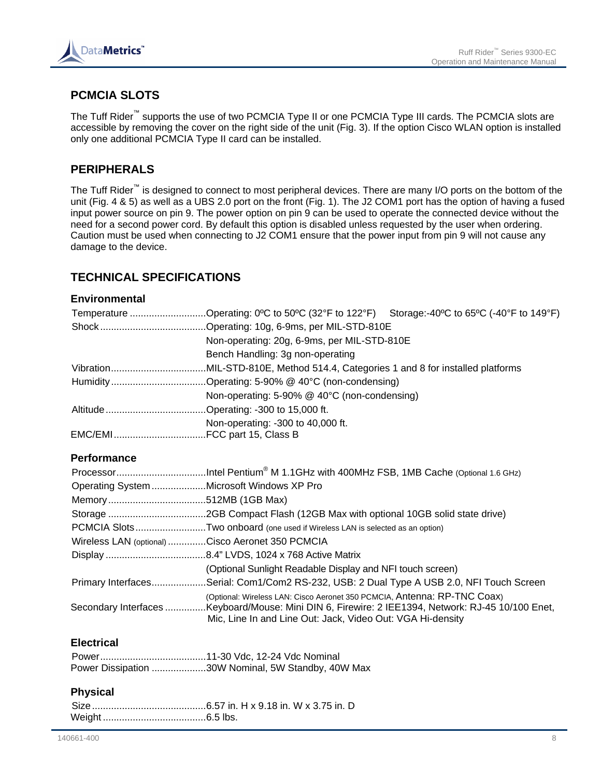

# **PCMCIA SLOTS**

The Tuff Rider™ supports the use of two PCMCIA Type II or one PCMCIA Type III cards. The PCMCIA slots are accessible by removing the cover on the right side of the unit (Fig. 3). If the option Cisco WLAN option is installed only one additional PCMCIA Type II card can be installed.

## **PERIPHERALS**

The Tuff Rider™ is designed to connect to most peripheral devices. There are many I/O ports on the bottom of the unit (Fig. 4 & 5) as well as a UBS 2.0 port on the front (Fig. 1). The J2 COM1 port has the option of having a fused input power source on pin 9. The power option on pin 9 can be used to operate the connected device without the need for a second power cord. By default this option is disabled unless requested by the user when ordering. Caution must be used when connecting to J2 COM1 ensure that the power input from pin 9 will not cause any damage to the device.

## **TECHNICAL SPECIFICATIONS**

### **Environmental**

| Temperature Operating: 0°C to 50°C (32°F to 122°F) Storage:-40°C to 65°C (-40°F to 149°F) |  |  |
|-------------------------------------------------------------------------------------------|--|--|
|                                                                                           |  |  |
| Non-operating: 20g, 6-9ms, per MIL-STD-810E                                               |  |  |
| Bench Handling: 3g non-operating                                                          |  |  |
|                                                                                           |  |  |
|                                                                                           |  |  |
| Non-operating: 5-90% @ 40°C (non-condensing)                                              |  |  |
|                                                                                           |  |  |
| Non-operating: -300 to 40,000 ft.                                                         |  |  |
|                                                                                           |  |  |

### **Performance**

| Operating System Microsoft Windows XP Pro        |                                                                                                                                                                 |
|--------------------------------------------------|-----------------------------------------------------------------------------------------------------------------------------------------------------------------|
|                                                  |                                                                                                                                                                 |
|                                                  |                                                                                                                                                                 |
|                                                  | PCMCIA SlotsTwo onboard (one used if Wireless LAN is selected as an option)                                                                                     |
| Wireless LAN (optional) Cisco Aeronet 350 PCMCIA |                                                                                                                                                                 |
|                                                  |                                                                                                                                                                 |
|                                                  | (Optional Sunlight Readable Display and NFI touch screen)                                                                                                       |
|                                                  | Primary InterfacesSerial: Com1/Com2 RS-232, USB: 2 Dual Type A USB 2.0, NFI Touch Screen                                                                        |
|                                                  | (Optional: Wireless LAN: Cisco Aeronet 350 PCMCIA, Antenna: RP-TNC Coax)                                                                                        |
|                                                  | Secondary Interfaces Keyboard/Mouse: Mini DIN 6, Firewire: 2 IEE1394, Network: RJ-45 10/100 Enet,<br>Mic, Line In and Line Out: Jack, Video Out: VGA Hi-density |

### **Electrical**

| Power Dissipation 30W Nominal, 5W Standby, 40W Max |
|----------------------------------------------------|

### **Physical**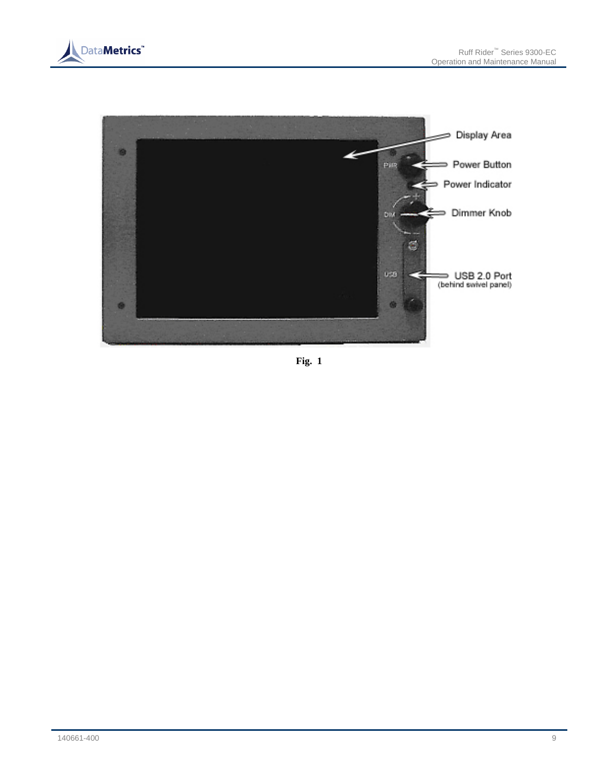



**Fig. 1**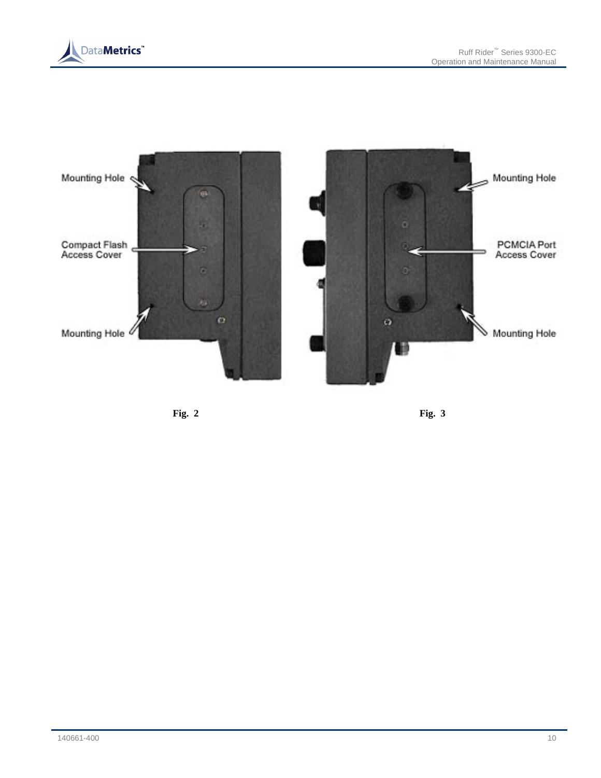



**Fig. 2 Fig. 3**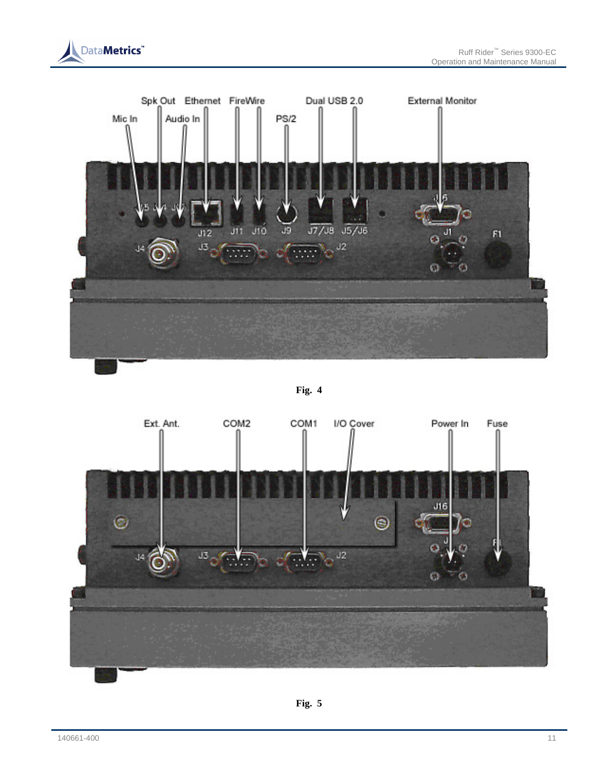





**Fig. 4** 

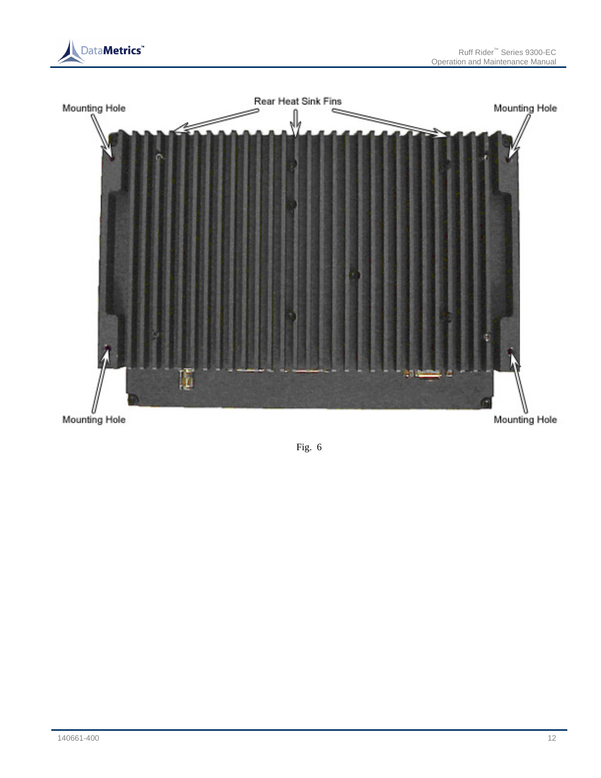



Mounting Hole

Mounting Hole

Fig. 6